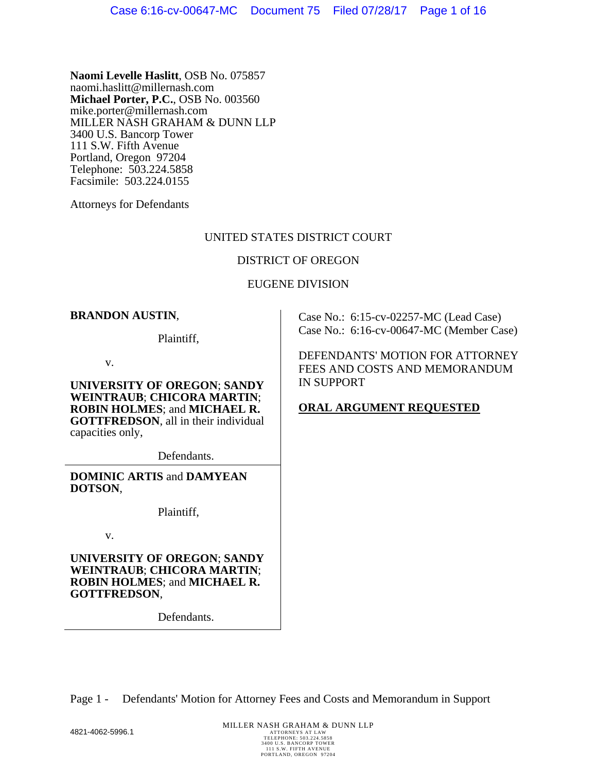**Naomi Levelle Haslitt**, OSB No. 075857 naomi.haslitt@millernash.com **Michael Porter, P.C.**, OSB No. 003560 mike.porter@millernash.com MILLER NASH GRAHAM & DUNN LLP 3400 U.S. Bancorp Tower 111 S.W. Fifth Avenue Portland, Oregon 97204 Telephone: 503.224.5858 Facsimile: 503.224.0155

Attorneys for Defendants

### UNITED STATES DISTRICT COURT

### DISTRICT OF OREGON

### EUGENE DIVISION

### **BRANDON AUSTIN**,

Plaintiff,

v.

**UNIVERSITY OF OREGON**; **SANDY WEINTRAUB**; **CHICORA MARTIN**; **ROBIN HOLMES**; and **MICHAEL R. GOTTFREDSON**, all in their individual capacities only,

Defendants.

**DOMINIC ARTIS** and **DAMYEAN DOTSON**,

Plaintiff,

v.

**UNIVERSITY OF OREGON**; **SANDY WEINTRAUB**; **CHICORA MARTIN**; **ROBIN HOLMES**; and **MICHAEL R. GOTTFREDSON**,

Defendants.

Case No.: 6:15-cv-02257-MC (Lead Case) Case No.: 6:16-cv-00647-MC (Member Case)

DEFENDANTS' MOTION FOR ATTORNEY FEES AND COSTS AND MEMORANDUM IN SUPPORT

# **ORAL ARGUMENT REQUESTED**

Page 1 - Defendants' Motion for Attorney Fees and Costs and Memorandum in Support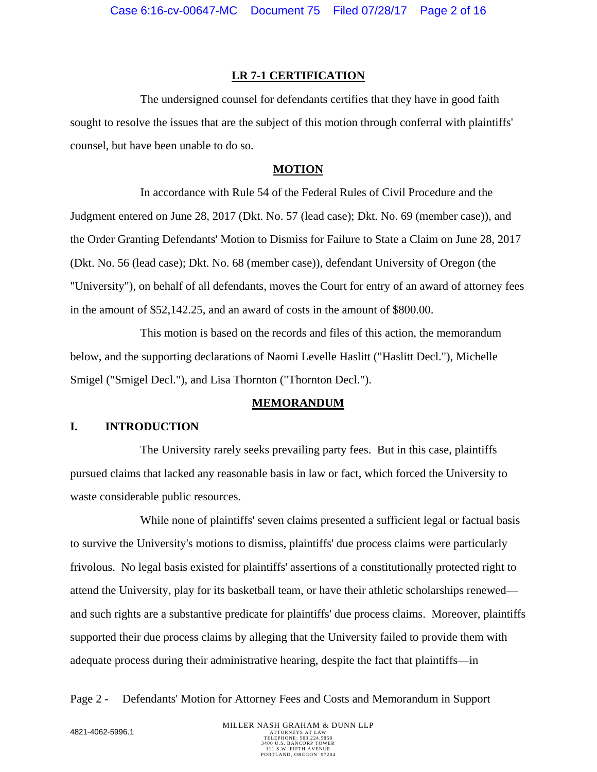#### **LR 7-1 CERTIFICATION**

The undersigned counsel for defendants certifies that they have in good faith sought to resolve the issues that are the subject of this motion through conferral with plaintiffs' counsel, but have been unable to do so.

### **MOTION**

In accordance with Rule 54 of the Federal Rules of Civil Procedure and the Judgment entered on June 28, 2017 (Dkt. No. 57 (lead case); Dkt. No. 69 (member case)), and the Order Granting Defendants' Motion to Dismiss for Failure to State a Claim on June 28, 2017 (Dkt. No. 56 (lead case); Dkt. No. 68 (member case)), defendant University of Oregon (the "University"), on behalf of all defendants, moves the Court for entry of an award of attorney fees in the amount of \$52,142.25, and an award of costs in the amount of \$800.00.

This motion is based on the records and files of this action, the memorandum below, and the supporting declarations of Naomi Levelle Haslitt ("Haslitt Decl."), Michelle Smigel ("Smigel Decl."), and Lisa Thornton ("Thornton Decl.").

#### **MEMORANDUM**

### **I. INTRODUCTION**

The University rarely seeks prevailing party fees. But in this case, plaintiffs pursued claims that lacked any reasonable basis in law or fact, which forced the University to waste considerable public resources.

While none of plaintiffs' seven claims presented a sufficient legal or factual basis to survive the University's motions to dismiss, plaintiffs' due process claims were particularly frivolous. No legal basis existed for plaintiffs' assertions of a constitutionally protected right to attend the University, play for its basketball team, or have their athletic scholarships renewed and such rights are a substantive predicate for plaintiffs' due process claims. Moreover, plaintiffs supported their due process claims by alleging that the University failed to provide them with adequate process during their administrative hearing, despite the fact that plaintiffs—in

Page 2 - Defendants' Motion for Attorney Fees and Costs and Memorandum in Support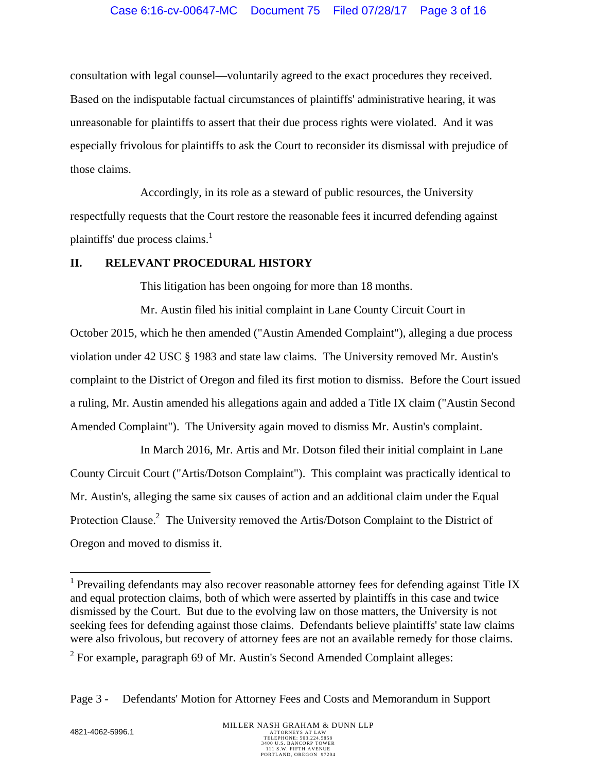consultation with legal counsel—voluntarily agreed to the exact procedures they received. Based on the indisputable factual circumstances of plaintiffs' administrative hearing, it was unreasonable for plaintiffs to assert that their due process rights were violated. And it was especially frivolous for plaintiffs to ask the Court to reconsider its dismissal with prejudice of those claims.

Accordingly, in its role as a steward of public resources, the University respectfully requests that the Court restore the reasonable fees it incurred defending against plaintiffs' due process claims.<sup>1</sup>

### **II. RELEVANT PROCEDURAL HISTORY**

This litigation has been ongoing for more than 18 months.

Mr. Austin filed his initial complaint in Lane County Circuit Court in October 2015, which he then amended ("Austin Amended Complaint"), alleging a due process violation under 42 USC § 1983 and state law claims. The University removed Mr. Austin's complaint to the District of Oregon and filed its first motion to dismiss. Before the Court issued a ruling, Mr. Austin amended his allegations again and added a Title IX claim ("Austin Second Amended Complaint"). The University again moved to dismiss Mr. Austin's complaint.

In March 2016, Mr. Artis and Mr. Dotson filed their initial complaint in Lane County Circuit Court ("Artis/Dotson Complaint"). This complaint was practically identical to Mr. Austin's, alleging the same six causes of action and an additional claim under the Equal Protection Clause.<sup>2</sup> The University removed the Artis/Dotson Complaint to the District of Oregon and moved to dismiss it.

<sup>&</sup>lt;sup>1</sup> Prevailing defendants may also recover reasonable attorney fees for defending against Title IX and equal protection claims, both of which were asserted by plaintiffs in this case and twice dismissed by the Court. But due to the evolving law on those matters, the University is not seeking fees for defending against those claims. Defendants believe plaintiffs' state law claims were also frivolous, but recovery of attorney fees are not an available remedy for those claims.

 $2^2$  For example, paragraph 69 of Mr. Austin's Second Amended Complaint alleges:

Page 3 - Defendants' Motion for Attorney Fees and Costs and Memorandum in Support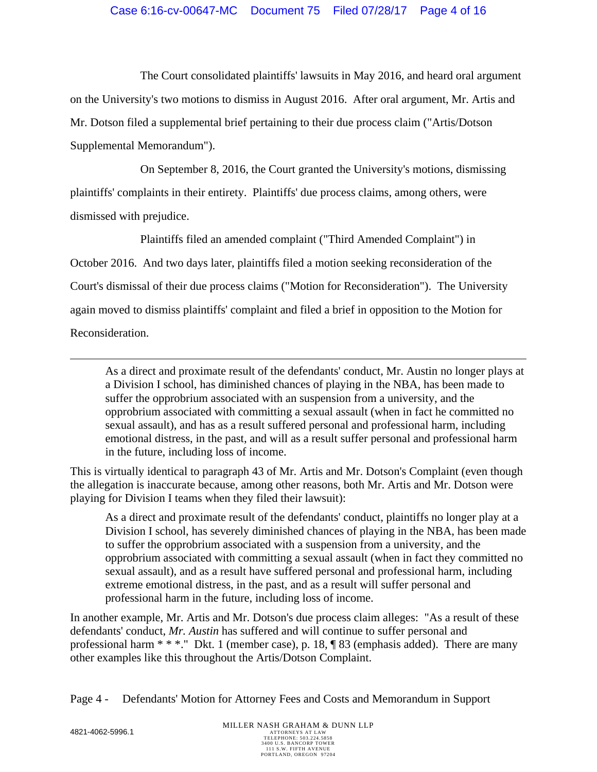## Case 6:16-cv-00647-MC Document 75 Filed 07/28/17 Page 4 of 16

The Court consolidated plaintiffs' lawsuits in May 2016, and heard oral argument on the University's two motions to dismiss in August 2016. After oral argument, Mr. Artis and Mr. Dotson filed a supplemental brief pertaining to their due process claim ("Artis/Dotson Supplemental Memorandum").

On September 8, 2016, the Court granted the University's motions, dismissing plaintiffs' complaints in their entirety. Plaintiffs' due process claims, among others, were dismissed with prejudice.

Plaintiffs filed an amended complaint ("Third Amended Complaint") in October 2016. And two days later, plaintiffs filed a motion seeking reconsideration of the Court's dismissal of their due process claims ("Motion for Reconsideration"). The University again moved to dismiss plaintiffs' complaint and filed a brief in opposition to the Motion for Reconsideration.

As a direct and proximate result of the defendants' conduct, Mr. Austin no longer plays at a Division I school, has diminished chances of playing in the NBA, has been made to suffer the opprobrium associated with an suspension from a university, and the opprobrium associated with committing a sexual assault (when in fact he committed no sexual assault), and has as a result suffered personal and professional harm, including emotional distress, in the past, and will as a result suffer personal and professional harm in the future, including loss of income.

This is virtually identical to paragraph 43 of Mr. Artis and Mr. Dotson's Complaint (even though the allegation is inaccurate because, among other reasons, both Mr. Artis and Mr. Dotson were playing for Division I teams when they filed their lawsuit):

As a direct and proximate result of the defendants' conduct, plaintiffs no longer play at a Division I school, has severely diminished chances of playing in the NBA, has been made to suffer the opprobrium associated with a suspension from a university, and the opprobrium associated with committing a sexual assault (when in fact they committed no sexual assault), and as a result have suffered personal and professional harm, including extreme emotional distress, in the past, and as a result will suffer personal and professional harm in the future, including loss of income.

In another example, Mr. Artis and Mr. Dotson's due process claim alleges: "As a result of these defendants' conduct, *Mr. Austin* has suffered and will continue to suffer personal and professional harm  $**$ ." Dkt. 1 (member case), p. 18,  $\sqrt{\frac{83}{9}}$  (emphasis added). There are many other examples like this throughout the Artis/Dotson Complaint.

Page 4 - Defendants' Motion for Attorney Fees and Costs and Memorandum in Support

1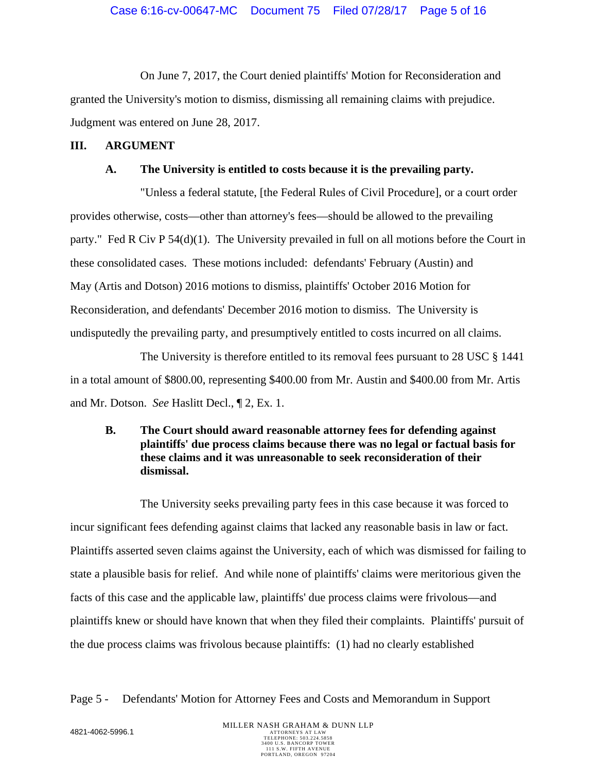On June 7, 2017, the Court denied plaintiffs' Motion for Reconsideration and granted the University's motion to dismiss, dismissing all remaining claims with prejudice. Judgment was entered on June 28, 2017.

## **III. ARGUMENT**

## **A. The University is entitled to costs because it is the prevailing party.**

"Unless a federal statute, [the Federal Rules of Civil Procedure], or a court order provides otherwise, costs—other than attorney's fees—should be allowed to the prevailing party." Fed R Civ P 54(d)(1). The University prevailed in full on all motions before the Court in these consolidated cases. These motions included: defendants' February (Austin) and May (Artis and Dotson) 2016 motions to dismiss, plaintiffs' October 2016 Motion for Reconsideration, and defendants' December 2016 motion to dismiss. The University is undisputedly the prevailing party, and presumptively entitled to costs incurred on all claims.

The University is therefore entitled to its removal fees pursuant to 28 USC § 1441 in a total amount of \$800.00, representing \$400.00 from Mr. Austin and \$400.00 from Mr. Artis and Mr. Dotson. *See* Haslitt Decl., ¶ 2, Ex. 1.

# **B. The Court should award reasonable attorney fees for defending against plaintiffs' due process claims because there was no legal or factual basis for these claims and it was unreasonable to seek reconsideration of their dismissal.**

The University seeks prevailing party fees in this case because it was forced to incur significant fees defending against claims that lacked any reasonable basis in law or fact. Plaintiffs asserted seven claims against the University, each of which was dismissed for failing to state a plausible basis for relief. And while none of plaintiffs' claims were meritorious given the facts of this case and the applicable law, plaintiffs' due process claims were frivolous—and plaintiffs knew or should have known that when they filed their complaints. Plaintiffs' pursuit of the due process claims was frivolous because plaintiffs: (1) had no clearly established

# Page 5 - Defendants' Motion for Attorney Fees and Costs and Memorandum in Support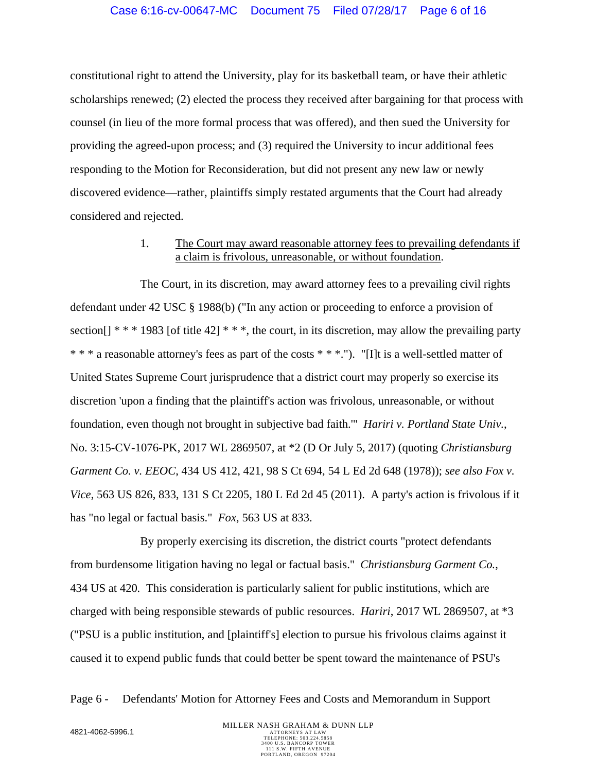constitutional right to attend the University, play for its basketball team, or have their athletic scholarships renewed; (2) elected the process they received after bargaining for that process with counsel (in lieu of the more formal process that was offered), and then sued the University for providing the agreed-upon process; and (3) required the University to incur additional fees responding to the Motion for Reconsideration, but did not present any new law or newly discovered evidence—rather, plaintiffs simply restated arguments that the Court had already considered and rejected.

# 1. The Court may award reasonable attorney fees to prevailing defendants if a claim is frivolous, unreasonable, or without foundation.

The Court, in its discretion, may award attorney fees to a prevailing civil rights defendant under 42 USC § 1988(b) ("In any action or proceeding to enforce a provision of section[]  $***$  1983 [of title 42]  $***$ , the court, in its discretion, may allow the prevailing party \* \* \* a reasonable attorney's fees as part of the costs \* \* \*."). "[I]t is a well-settled matter of United States Supreme Court jurisprudence that a district court may properly so exercise its discretion 'upon a finding that the plaintiff's action was frivolous, unreasonable, or without foundation, even though not brought in subjective bad faith.'" *Hariri v. Portland State Univ.*, No. 3:15-CV-1076-PK, 2017 WL 2869507, at \*2 (D Or July 5, 2017) (quoting *Christiansburg Garment Co. v. EEOC*, 434 US 412, 421, 98 S Ct 694, 54 L Ed 2d 648 (1978)); *see also Fox v. Vice*, 563 US 826, 833, 131 S Ct 2205, 180 L Ed 2d 45 (2011). A party's action is frivolous if it has "no legal or factual basis." *Fox*, 563 US at 833.

By properly exercising its discretion, the district courts "protect defendants from burdensome litigation having no legal or factual basis." *Christiansburg Garment Co.*, 434 US at 420*.* This consideration is particularly salient for public institutions, which are charged with being responsible stewards of public resources. *Hariri*, 2017 WL 2869507, at \*3 ("PSU is a public institution, and [plaintiff's] election to pursue his frivolous claims against it caused it to expend public funds that could better be spent toward the maintenance of PSU's

Page 6 - Defendants' Motion for Attorney Fees and Costs and Memorandum in Support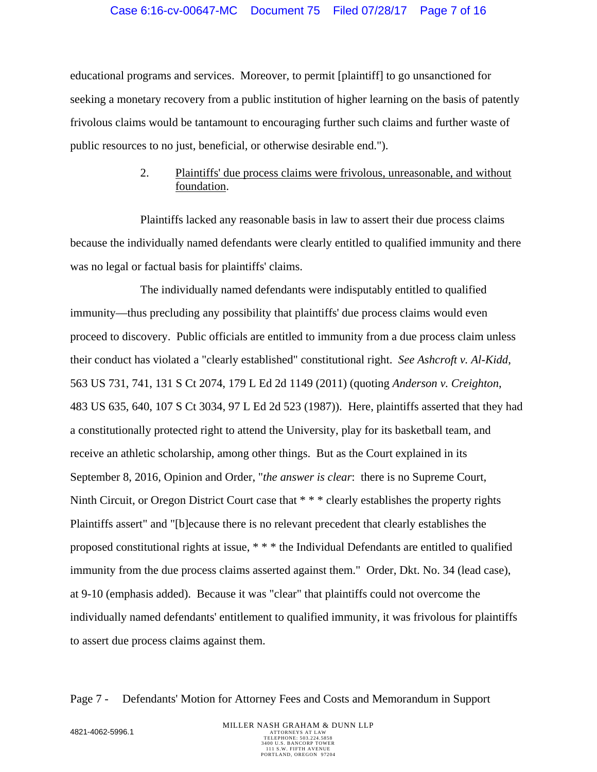educational programs and services. Moreover, to permit [plaintiff] to go unsanctioned for seeking a monetary recovery from a public institution of higher learning on the basis of patently frivolous claims would be tantamount to encouraging further such claims and further waste of public resources to no just, beneficial, or otherwise desirable end.").

## 2. Plaintiffs' due process claims were frivolous, unreasonable, and without foundation.

Plaintiffs lacked any reasonable basis in law to assert their due process claims because the individually named defendants were clearly entitled to qualified immunity and there was no legal or factual basis for plaintiffs' claims.

The individually named defendants were indisputably entitled to qualified immunity—thus precluding any possibility that plaintiffs' due process claims would even proceed to discovery. Public officials are entitled to immunity from a due process claim unless their conduct has violated a "clearly established" constitutional right. *See Ashcroft v. Al-Kidd*, 563 US 731, 741, 131 S Ct 2074, 179 L Ed 2d 1149 (2011) (quoting *Anderson v. Creighton*, 483 US 635, 640, 107 S Ct 3034, 97 L Ed 2d 523 (1987)). Here, plaintiffs asserted that they had a constitutionally protected right to attend the University, play for its basketball team, and receive an athletic scholarship, among other things. But as the Court explained in its September 8, 2016, Opinion and Order, "*the answer is clear*: there is no Supreme Court, Ninth Circuit, or Oregon District Court case that \* \* \* clearly establishes the property rights Plaintiffs assert" and "[b]ecause there is no relevant precedent that clearly establishes the proposed constitutional rights at issue, \* \* \* the Individual Defendants are entitled to qualified immunity from the due process claims asserted against them." Order, Dkt. No. 34 (lead case), at 9-10 (emphasis added). Because it was "clear" that plaintiffs could not overcome the individually named defendants' entitlement to qualified immunity, it was frivolous for plaintiffs to assert due process claims against them.

### Page 7 - Defendants' Motion for Attorney Fees and Costs and Memorandum in Support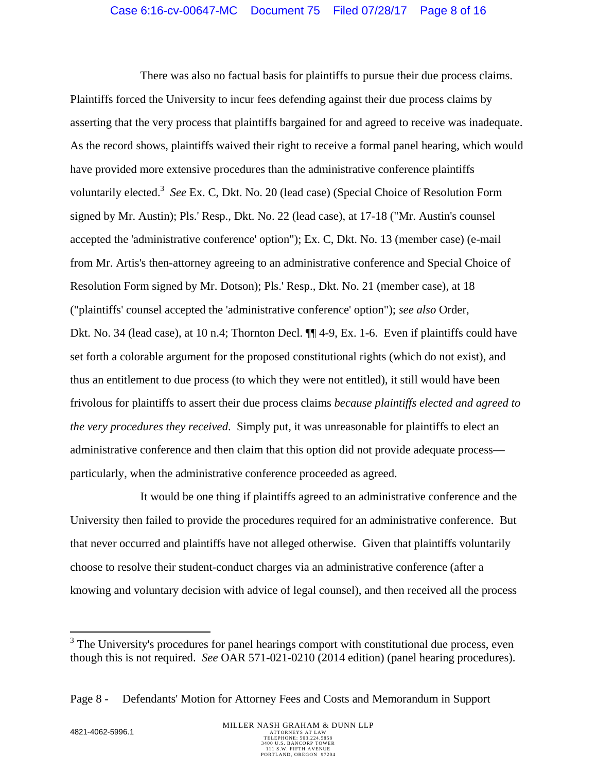### Case 6:16-cv-00647-MC Document 75 Filed 07/28/17 Page 8 of 16

There was also no factual basis for plaintiffs to pursue their due process claims. Plaintiffs forced the University to incur fees defending against their due process claims by asserting that the very process that plaintiffs bargained for and agreed to receive was inadequate. As the record shows, plaintiffs waived their right to receive a formal panel hearing, which would have provided more extensive procedures than the administrative conference plaintiffs voluntarily elected.<sup>3</sup> See Ex. C, Dkt. No. 20 (lead case) (Special Choice of Resolution Form signed by Mr. Austin); Pls.' Resp., Dkt. No. 22 (lead case), at 17-18 ("Mr. Austin's counsel accepted the 'administrative conference' option"); Ex. C, Dkt. No. 13 (member case) (e-mail from Mr. Artis's then-attorney agreeing to an administrative conference and Special Choice of Resolution Form signed by Mr. Dotson); Pls.' Resp., Dkt. No. 21 (member case), at 18 ("plaintiffs' counsel accepted the 'administrative conference' option"); *see also* Order, Dkt. No. 34 (lead case), at 10 n.4; Thornton Decl.  $\P\P$ 4-9, Ex. 1-6. Even if plaintiffs could have set forth a colorable argument for the proposed constitutional rights (which do not exist), and thus an entitlement to due process (to which they were not entitled), it still would have been frivolous for plaintiffs to assert their due process claims *because plaintiffs elected and agreed to the very procedures they received*. Simply put, it was unreasonable for plaintiffs to elect an administrative conference and then claim that this option did not provide adequate process particularly, when the administrative conference proceeded as agreed.

It would be one thing if plaintiffs agreed to an administrative conference and the University then failed to provide the procedures required for an administrative conference. But that never occurred and plaintiffs have not alleged otherwise. Given that plaintiffs voluntarily choose to resolve their student-conduct charges via an administrative conference (after a knowing and voluntary decision with advice of legal counsel), and then received all the process

 $\overline{a}$ 

 $3$  The University's procedures for panel hearings comport with constitutional due process, even though this is not required. *See* OAR 571-021-0210 (2014 edition) (panel hearing procedures).

Page 8 - Defendants' Motion for Attorney Fees and Costs and Memorandum in Support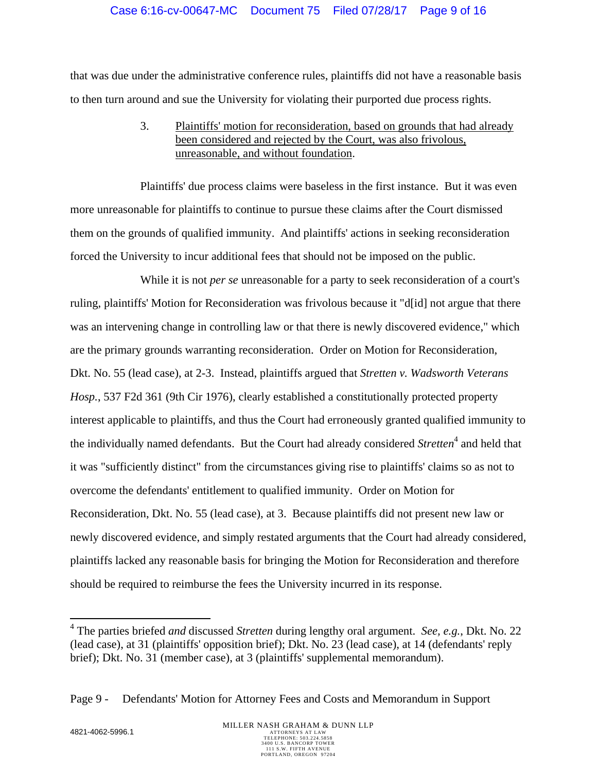that was due under the administrative conference rules, plaintiffs did not have a reasonable basis to then turn around and sue the University for violating their purported due process rights.

> 3. Plaintiffs' motion for reconsideration, based on grounds that had already been considered and rejected by the Court, was also frivolous, unreasonable, and without foundation.

Plaintiffs' due process claims were baseless in the first instance. But it was even more unreasonable for plaintiffs to continue to pursue these claims after the Court dismissed them on the grounds of qualified immunity. And plaintiffs' actions in seeking reconsideration forced the University to incur additional fees that should not be imposed on the public.

While it is not *per se* unreasonable for a party to seek reconsideration of a court's ruling, plaintiffs' Motion for Reconsideration was frivolous because it "d[id] not argue that there was an intervening change in controlling law or that there is newly discovered evidence," which are the primary grounds warranting reconsideration. Order on Motion for Reconsideration, Dkt. No. 55 (lead case), at 2-3. Instead, plaintiffs argued that *Stretten v. Wadsworth Veterans Hosp.*, 537 F2d 361 (9th Cir 1976), clearly established a constitutionally protected property interest applicable to plaintiffs, and thus the Court had erroneously granted qualified immunity to the individually named defendants. But the Court had already considered *Stretten*<sup>4</sup> and held that it was "sufficiently distinct" from the circumstances giving rise to plaintiffs' claims so as not to overcome the defendants' entitlement to qualified immunity. Order on Motion for Reconsideration, Dkt. No. 55 (lead case), at 3. Because plaintiffs did not present new law or newly discovered evidence, and simply restated arguments that the Court had already considered, plaintiffs lacked any reasonable basis for bringing the Motion for Reconsideration and therefore should be required to reimburse the fees the University incurred in its response.

 $\overline{a}$ 

<sup>4</sup> The parties briefed *and* discussed *Stretten* during lengthy oral argument. *See, e.g.*, Dkt. No. 22 (lead case), at 31 (plaintiffs' opposition brief); Dkt. No. 23 (lead case), at 14 (defendants' reply brief); Dkt. No. 31 (member case), at 3 (plaintiffs' supplemental memorandum).

Page 9 - Defendants' Motion for Attorney Fees and Costs and Memorandum in Support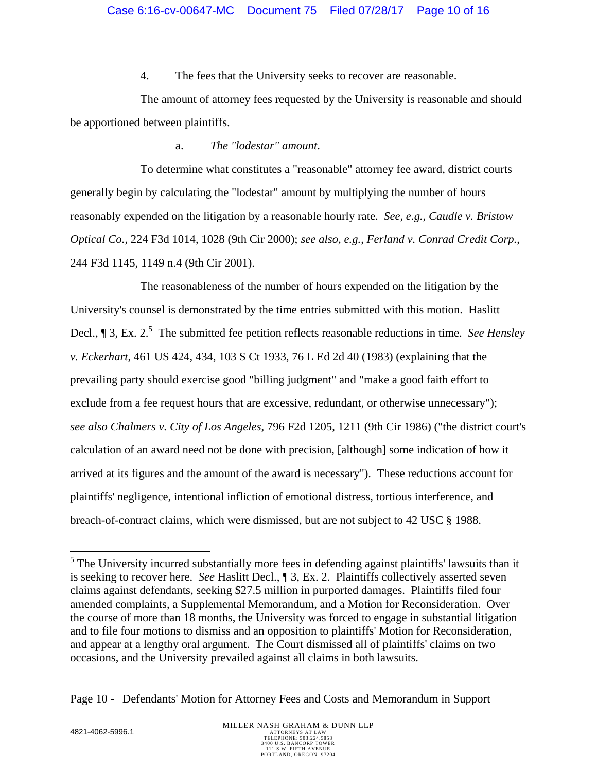### 4. The fees that the University seeks to recover are reasonable.

The amount of attorney fees requested by the University is reasonable and should be apportioned between plaintiffs.

# a. *The "lodestar" amount*.

To determine what constitutes a "reasonable" attorney fee award, district courts generally begin by calculating the "lodestar" amount by multiplying the number of hours reasonably expended on the litigation by a reasonable hourly rate. *See, e.g.*, *Caudle v. Bristow Optical Co.*, 224 F3d 1014, 1028 (9th Cir 2000); *see also, e.g.*, *Ferland v. Conrad Credit Corp.*, 244 F3d 1145, 1149 n.4 (9th Cir 2001).

The reasonableness of the number of hours expended on the litigation by the University's counsel is demonstrated by the time entries submitted with this motion. Haslitt Decl.,  $\P$  3, Ex. 2.<sup>5</sup> The submitted fee petition reflects reasonable reductions in time. *See Hensley v. Eckerhart*, 461 US 424, 434, 103 S Ct 1933, 76 L Ed 2d 40 (1983) (explaining that the prevailing party should exercise good "billing judgment" and "make a good faith effort to exclude from a fee request hours that are excessive, redundant, or otherwise unnecessary"); *see also Chalmers v. City of Los Angeles*, 796 F2d 1205, 1211 (9th Cir 1986) ("the district court's calculation of an award need not be done with precision, [although] some indication of how it arrived at its figures and the amount of the award is necessary"). These reductions account for plaintiffs' negligence, intentional infliction of emotional distress, tortious interference, and breach-of-contract claims, which were dismissed, but are not subject to 42 USC § 1988.

<sup>&</sup>lt;sup>5</sup>The University incurred substantially more fees in defending against plaintiffs' lawsuits than it is seeking to recover here. *See* Haslitt Decl., ¶ 3, Ex. 2. Plaintiffs collectively asserted seven claims against defendants, seeking \$27.5 million in purported damages. Plaintiffs filed four amended complaints, a Supplemental Memorandum, and a Motion for Reconsideration. Over the course of more than 18 months, the University was forced to engage in substantial litigation and to file four motions to dismiss and an opposition to plaintiffs' Motion for Reconsideration, and appear at a lengthy oral argument. The Court dismissed all of plaintiffs' claims on two occasions, and the University prevailed against all claims in both lawsuits.

Page 10 - Defendants' Motion for Attorney Fees and Costs and Memorandum in Support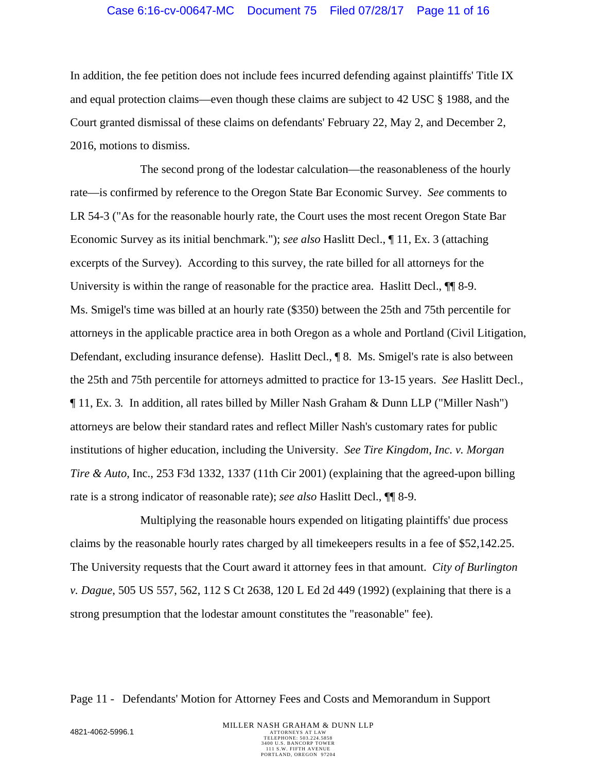#### Case 6:16-cv-00647-MC Document 75 Filed 07/28/17 Page 11 of 16

In addition, the fee petition does not include fees incurred defending against plaintiffs' Title IX and equal protection claims—even though these claims are subject to 42 USC § 1988, and the Court granted dismissal of these claims on defendants' February 22, May 2, and December 2, 2016, motions to dismiss.

The second prong of the lodestar calculation—the reasonableness of the hourly rate—is confirmed by reference to the Oregon State Bar Economic Survey. *See* comments to LR 54-3 ("As for the reasonable hourly rate, the Court uses the most recent Oregon State Bar Economic Survey as its initial benchmark."); *see also* Haslitt Decl., ¶ 11, Ex. 3 (attaching excerpts of the Survey). According to this survey, the rate billed for all attorneys for the University is within the range of reasonable for the practice area. Haslitt Decl.,  $\P$  8-9. Ms. Smigel's time was billed at an hourly rate (\$350) between the 25th and 75th percentile for attorneys in the applicable practice area in both Oregon as a whole and Portland (Civil Litigation, Defendant, excluding insurance defense). Haslitt Decl., ¶ 8. Ms. Smigel's rate is also between the 25th and 75th percentile for attorneys admitted to practice for 13-15 years. *See* Haslitt Decl., ¶ 11, Ex. 3*.* In addition, all rates billed by Miller Nash Graham & Dunn LLP ("Miller Nash") attorneys are below their standard rates and reflect Miller Nash's customary rates for public institutions of higher education, including the University. *See Tire Kingdom, Inc. v. Morgan Tire & Auto*, Inc., 253 F3d 1332, 1337 (11th Cir 2001) (explaining that the agreed-upon billing rate is a strong indicator of reasonable rate); *see also* Haslitt Decl., ¶¶ 8-9.

Multiplying the reasonable hours expended on litigating plaintiffs' due process claims by the reasonable hourly rates charged by all timekeepers results in a fee of \$52,142.25. The University requests that the Court award it attorney fees in that amount. *City of Burlington v. Dague*, 505 US 557, 562, 112 S Ct 2638, 120 L Ed 2d 449 (1992) (explaining that there is a strong presumption that the lodestar amount constitutes the "reasonable" fee).

Page 11 - Defendants' Motion for Attorney Fees and Costs and Memorandum in Support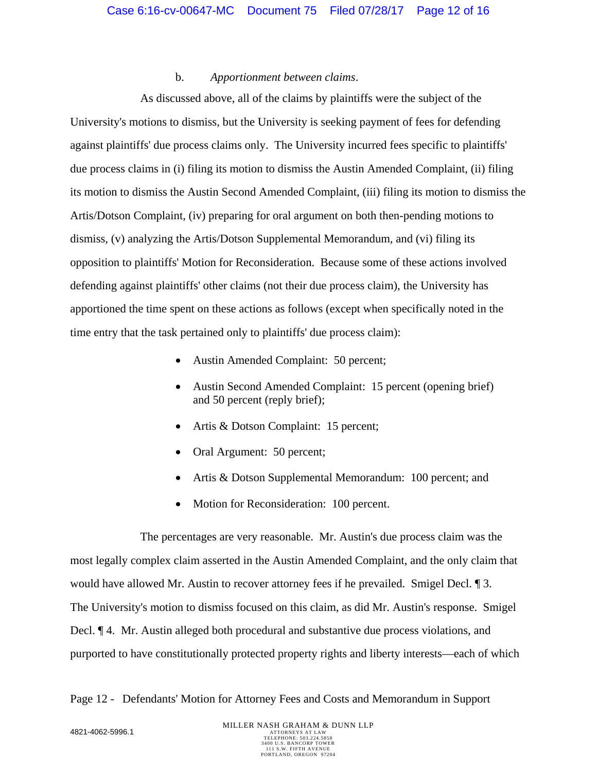### b. *Apportionment between claims*.

As discussed above, all of the claims by plaintiffs were the subject of the University's motions to dismiss, but the University is seeking payment of fees for defending against plaintiffs' due process claims only. The University incurred fees specific to plaintiffs' due process claims in (i) filing its motion to dismiss the Austin Amended Complaint, (ii) filing its motion to dismiss the Austin Second Amended Complaint, (iii) filing its motion to dismiss the Artis/Dotson Complaint, (iv) preparing for oral argument on both then-pending motions to dismiss, (v) analyzing the Artis/Dotson Supplemental Memorandum, and (vi) filing its opposition to plaintiffs' Motion for Reconsideration. Because some of these actions involved defending against plaintiffs' other claims (not their due process claim), the University has apportioned the time spent on these actions as follows (except when specifically noted in the time entry that the task pertained only to plaintiffs' due process claim):

- Austin Amended Complaint: 50 percent;
- Austin Second Amended Complaint: 15 percent (opening brief) and 50 percent (reply brief);
- Artis & Dotson Complaint: 15 percent;
- Oral Argument: 50 percent;
- Artis & Dotson Supplemental Memorandum: 100 percent; and
- Motion for Reconsideration: 100 percent.

The percentages are very reasonable. Mr. Austin's due process claim was the most legally complex claim asserted in the Austin Amended Complaint, and the only claim that would have allowed Mr. Austin to recover attorney fees if he prevailed. Smigel Decl. ¶ 3. The University's motion to dismiss focused on this claim, as did Mr. Austin's response. Smigel Decl. ¶ 4. Mr. Austin alleged both procedural and substantive due process violations, and purported to have constitutionally protected property rights and liberty interests—each of which

Page 12 - Defendants' Motion for Attorney Fees and Costs and Memorandum in Support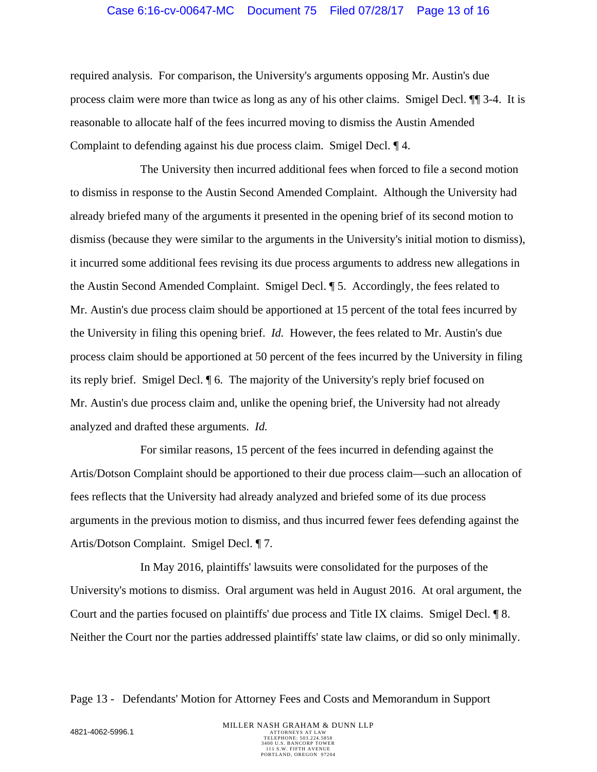#### Case 6:16-cv-00647-MC Document 75 Filed 07/28/17 Page 13 of 16

required analysis. For comparison, the University's arguments opposing Mr. Austin's due process claim were more than twice as long as any of his other claims. Smigel Decl. ¶¶ 3-4.It is reasonable to allocate half of the fees incurred moving to dismiss the Austin Amended Complaint to defending against his due process claim. Smigel Decl. ¶ 4.

The University then incurred additional fees when forced to file a second motion to dismiss in response to the Austin Second Amended Complaint. Although the University had already briefed many of the arguments it presented in the opening brief of its second motion to dismiss (because they were similar to the arguments in the University's initial motion to dismiss), it incurred some additional fees revising its due process arguments to address new allegations in the Austin Second Amended Complaint. Smigel Decl. ¶ 5. Accordingly, the fees related to Mr. Austin's due process claim should be apportioned at 15 percent of the total fees incurred by the University in filing this opening brief. *Id.* However, the fees related to Mr. Austin's due process claim should be apportioned at 50 percent of the fees incurred by the University in filing its reply brief. Smigel Decl. ¶ 6. The majority of the University's reply brief focused on Mr. Austin's due process claim and, unlike the opening brief, the University had not already analyzed and drafted these arguments. *Id.* 

For similar reasons, 15 percent of the fees incurred in defending against the Artis/Dotson Complaint should be apportioned to their due process claim—such an allocation of fees reflects that the University had already analyzed and briefed some of its due process arguments in the previous motion to dismiss, and thus incurred fewer fees defending against the Artis/Dotson Complaint. Smigel Decl. ¶ 7.

In May 2016, plaintiffs' lawsuits were consolidated for the purposes of the University's motions to dismiss. Oral argument was held in August 2016. At oral argument, the Court and the parties focused on plaintiffs' due process and Title IX claims. Smigel Decl. ¶ 8. Neither the Court nor the parties addressed plaintiffs' state law claims, or did so only minimally.

Page 13 - Defendants' Motion for Attorney Fees and Costs and Memorandum in Support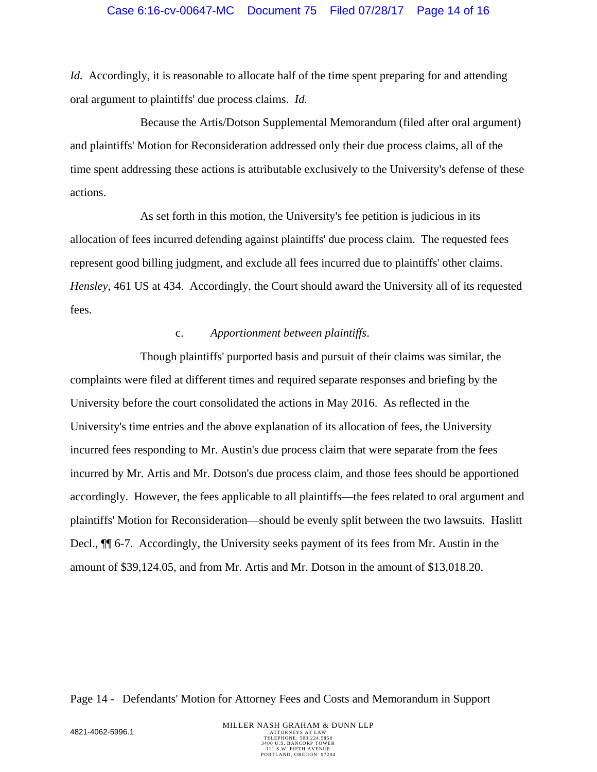*Id.* Accordingly, it is reasonable to allocate half of the time spent preparing for and attending oral argument to plaintiffs' due process claims. *Id.*

Because the Artis/Dotson Supplemental Memorandum (filed after oral argument) and plaintiffs' Motion for Reconsideration addressed only their due process claims, all of the time spent addressing these actions is attributable exclusively to the University's defense of these actions.

As set forth in this motion, the University's fee petition is judicious in its allocation of fees incurred defending against plaintiffs' due process claim. The requested fees represent good billing judgment, and exclude all fees incurred due to plaintiffs' other claims. *Hensley*, 461 US at 434. Accordingly, the Court should award the University all of its requested fees.

### c. *Apportionment between plaintiffs*.

Though plaintiffs' purported basis and pursuit of their claims was similar, the complaints were filed at different times and required separate responses and briefing by the University before the court consolidated the actions in May 2016. As reflected in the University's time entries and the above explanation of its allocation of fees, the University incurred fees responding to Mr. Austin's due process claim that were separate from the fees incurred by Mr. Artis and Mr. Dotson's due process claim, and those fees should be apportioned accordingly. However, the fees applicable to all plaintiffs—the fees related to oral argument and plaintiffs' Motion for Reconsideration—should be evenly split between the two lawsuits. Haslitt Decl., ¶¶ 6-7. Accordingly, the University seeks payment of its fees from Mr. Austin in the amount of \$39,124.05, and from Mr. Artis and Mr. Dotson in the amount of \$13,018.20.

Page 14 - Defendants' Motion for Attorney Fees and Costs and Memorandum in Support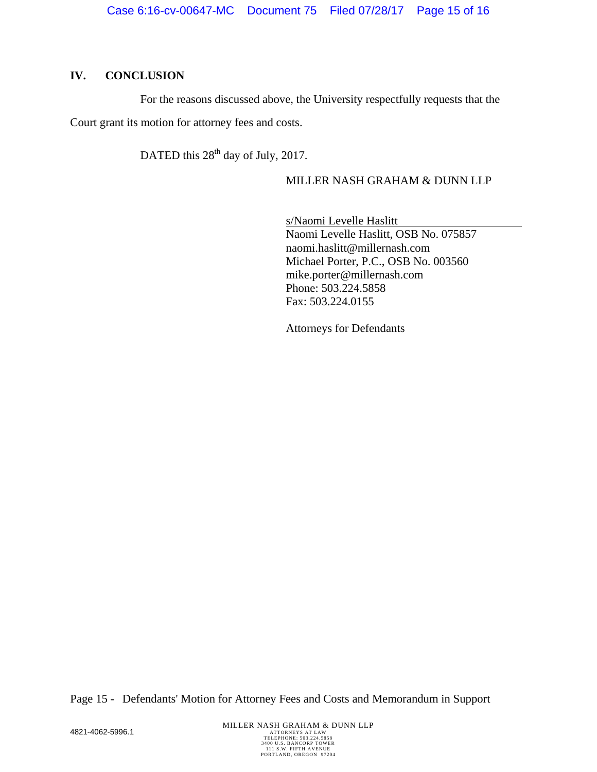# **IV. CONCLUSION**

For the reasons discussed above, the University respectfully requests that the Court grant its motion for attorney fees and costs.

DATED this 28<sup>th</sup> day of July, 2017.

# MILLER NASH GRAHAM & DUNN LLP

s/Naomi Levelle Haslitt Naomi Levelle Haslitt, OSB No. 075857 naomi.haslitt@millernash.com Michael Porter, P.C., OSB No. 003560 mike.porter@millernash.com Phone: 503.224.5858 Fax: 503.224.0155

Attorneys for Defendants

Page 15 - Defendants' Motion for Attorney Fees and Costs and Memorandum in Support